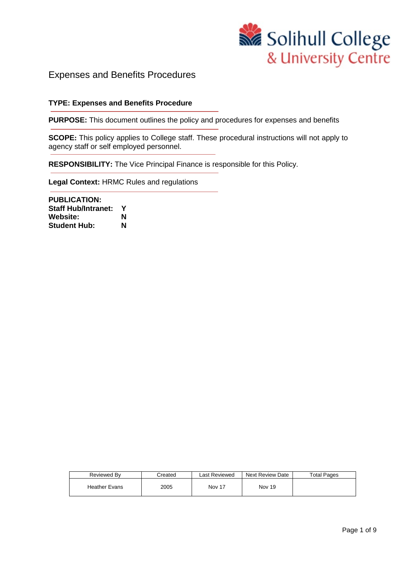

## Expenses and Benefits Procedures

#### **TYPE: Expenses and Benefits Procedure**

**PURPOSE:** This document outlines the policy and procedures for expenses and benefits

**SCOPE:** This policy applies to College staff. These procedural instructions will not apply to agency staff or self employed personnel.

**RESPONSIBILITY:** The Vice Principal Finance is responsible for this Policy.

**Legal Context:** HRMC Rules and regulations

**PUBLICATION: Staff Hub/Intranet: Y** Website: **N**<br>Student Hub: **N Student Hub:** 

| Reviewed By          | Created | Last Reviewed | <b>Next Review Date</b> | <b>Total Pages</b> |
|----------------------|---------|---------------|-------------------------|--------------------|
| <b>Heather Evans</b> | 2005    | <b>Nov 17</b> | <b>Nov 19</b>           |                    |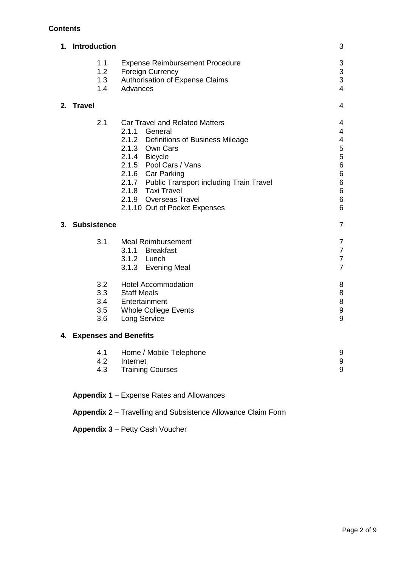## **Contents**

| 1. Introduction                 |                                                                                                                                                                                                                                                                                                                   | 3                                                                                                 |
|---------------------------------|-------------------------------------------------------------------------------------------------------------------------------------------------------------------------------------------------------------------------------------------------------------------------------------------------------------------|---------------------------------------------------------------------------------------------------|
| 1.1<br>1.2<br>1.3<br>1.4        | <b>Expense Reimbursement Procedure</b><br><b>Foreign Currency</b><br>Authorisation of Expense Claims<br>Advances                                                                                                                                                                                                  | 3<br>3<br>3<br>$\overline{4}$                                                                     |
| 2. Travel                       |                                                                                                                                                                                                                                                                                                                   | 4                                                                                                 |
| 2.1                             | <b>Car Travel and Related Matters</b><br>2.1.1 General<br>2.1.2 Definitions of Business Mileage<br>2.1.3 Own Cars<br>2.1.4 Bicycle<br>2.1.5 Pool Cars / Vans<br>2.1.6 Car Parking<br>2.1.7 Public Transport including Train Travel<br>2.1.8 Taxi Travel<br>2.1.9 Overseas Travel<br>2.1.10 Out of Pocket Expenses | 4<br>4<br>4<br>5<br>5<br>6<br>6<br>$6\phantom{a}$<br>$\boldsymbol{6}$<br>$6\phantom{a}$<br>6<br>6 |
| 3. Subsistence                  |                                                                                                                                                                                                                                                                                                                   | $\overline{7}$                                                                                    |
| 3.1                             | <b>Meal Reimbursement</b><br>3.1.1 Breakfast<br>3.1.2 Lunch<br>3.1.3 Evening Meal                                                                                                                                                                                                                                 | 7<br>$\overline{7}$<br>7<br>$\overline{7}$                                                        |
| 3.2<br>3.3<br>3.4<br>3.5<br>3.6 | <b>Hotel Accommodation</b><br><b>Staff Meals</b><br>Entertainment<br><b>Whole College Events</b><br>Long Service                                                                                                                                                                                                  | 8<br>8<br>8<br>9<br>9                                                                             |
| 4. Expenses and Benefits        |                                                                                                                                                                                                                                                                                                                   |                                                                                                   |
| 4.1<br>4.2<br>4.3               | Home / Mobile Telephone<br>Internet<br><b>Training Courses</b>                                                                                                                                                                                                                                                    | 9<br>9<br>9                                                                                       |
|                                 |                                                                                                                                                                                                                                                                                                                   |                                                                                                   |

## **Appendix 1** – Expense Rates and Allowances

**Appendix 2** – Travelling and Subsistence Allowance Claim Form

**Appendix 3** – Petty Cash Voucher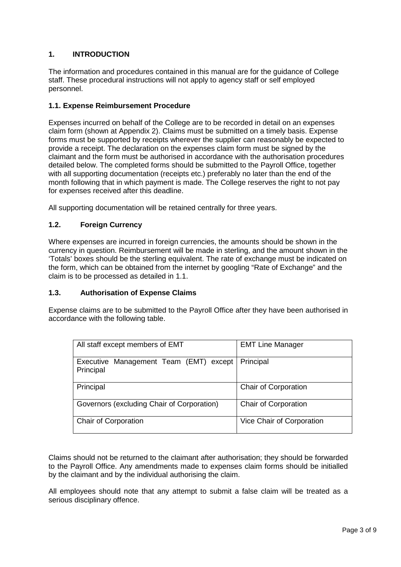## **1. INTRODUCTION**

The information and procedures contained in this manual are for the guidance of College staff. These procedural instructions will not apply to agency staff or self employed personnel.

#### **1.1. Expense Reimbursement Procedure**

Expenses incurred on behalf of the College are to be recorded in detail on an expenses claim form (shown at Appendix 2). Claims must be submitted on a timely basis. Expense forms must be supported by receipts wherever the supplier can reasonably be expected to provide a receipt. The declaration on the expenses claim form must be signed by the claimant and the form must be authorised in accordance with the authorisation procedures detailed below. The completed forms should be submitted to the Payroll Office, together with all supporting documentation (receipts etc.) preferably no later than the end of the month following that in which payment is made. The College reserves the right to not pay for expenses received after this deadline.

All supporting documentation will be retained centrally for three years.

#### **1.2. Foreign Currency**

Where expenses are incurred in foreign currencies, the amounts should be shown in the currency in question. Reimbursement will be made in sterling, and the amount shown in the 'Totals' boxes should be the sterling equivalent. The rate of exchange must be indicated on the form, which can be obtained from the internet by googling "Rate of Exchange" and the claim is to be processed as detailed in 1.1.

#### **1.3. Authorisation of Expense Claims**

Expense claims are to be submitted to the Payroll Office after they have been authorised in accordance with the following table.

| All staff except members of EMT                     | <b>EMT Line Manager</b>     |
|-----------------------------------------------------|-----------------------------|
| Executive Management Team (EMT) except<br>Principal | Principal                   |
| Principal                                           | <b>Chair of Corporation</b> |
| Governors (excluding Chair of Corporation)          | <b>Chair of Corporation</b> |
| Chair of Corporation                                | Vice Chair of Corporation   |

Claims should not be returned to the claimant after authorisation; they should be forwarded to the Payroll Office. Any amendments made to expenses claim forms should be initialled by the claimant and by the individual authorising the claim.

All employees should note that any attempt to submit a false claim will be treated as a serious disciplinary offence.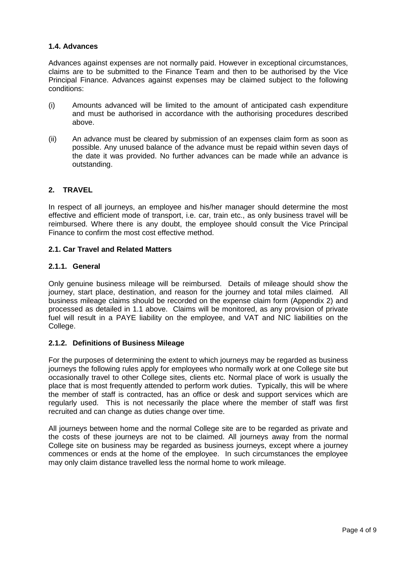#### **1.4. Advances**

Advances against expenses are not normally paid. However in exceptional circumstances, claims are to be submitted to the Finance Team and then to be authorised by the Vice Principal Finance. Advances against expenses may be claimed subject to the following conditions:

- (i) Amounts advanced will be limited to the amount of anticipated cash expenditure and must be authorised in accordance with the authorising procedures described above.
- (ii) An advance must be cleared by submission of an expenses claim form as soon as possible. Any unused balance of the advance must be repaid within seven days of the date it was provided. No further advances can be made while an advance is outstanding.

## **2. TRAVEL**

In respect of all journeys, an employee and his/her manager should determine the most effective and efficient mode of transport, i.e. car, train etc., as only business travel will be reimbursed. Where there is any doubt, the employee should consult the Vice Principal Finance to confirm the most cost effective method.

#### **2.1. Car Travel and Related Matters**

#### **2.1.1. General**

Only genuine business mileage will be reimbursed. Details of mileage should show the journey, start place, destination, and reason for the journey and total miles claimed. All business mileage claims should be recorded on the expense claim form (Appendix 2) and processed as detailed in 1.1 above. Claims will be monitored, as any provision of private fuel will result in a PAYE liability on the employee, and VAT and NIC liabilities on the College.

#### **2.1.2. Definitions of Business Mileage**

For the purposes of determining the extent to which journeys may be regarded as business journeys the following rules apply for employees who normally work at one College site but occasionally travel to other College sites, clients etc. Normal place of work is usually the place that is most frequently attended to perform work duties. Typically, this will be where the member of staff is contracted, has an office or desk and support services which are regularly used. This is not necessarily the place where the member of staff was first recruited and can change as duties change over time.

All journeys between home and the normal College site are to be regarded as private and the costs of these journeys are not to be claimed. All journeys away from the normal College site on business may be regarded as business journeys, except where a journey commences or ends at the home of the employee. In such circumstances the employee may only claim distance travelled less the normal home to work mileage.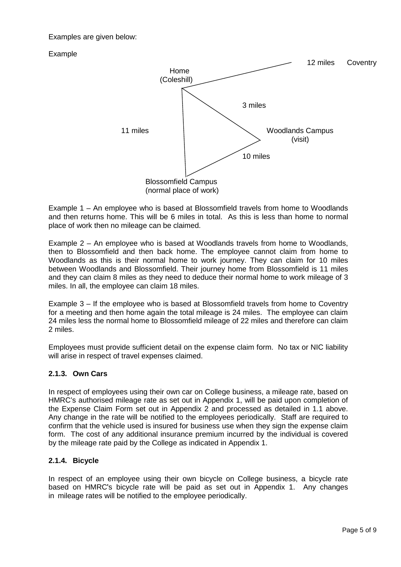#### Examples are given below:

## Example



Example 1 – An employee who is based at Blossomfield travels from home to Woodlands and then returns home. This will be 6 miles in total. As this is less than home to normal place of work then no mileage can be claimed.

Example 2 – An employee who is based at Woodlands travels from home to Woodlands, then to Blossomfield and then back home. The employee cannot claim from home to Woodlands as this is their normal home to work journey. They can claim for 10 miles between Woodlands and Blossomfield. Their journey home from Blossomfield is 11 miles and they can claim 8 miles as they need to deduce their normal home to work mileage of 3 miles. In all, the employee can claim 18 miles.

Example 3 – If the employee who is based at Blossomfield travels from home to Coventry for a meeting and then home again the total mileage is 24 miles. The employee can claim 24 miles less the normal home to Blossomfield mileage of 22 miles and therefore can claim 2 miles.

Employees must provide sufficient detail on the expense claim form. No tax or NIC liability will arise in respect of travel expenses claimed.

## **2.1.3. Own Cars**

In respect of employees using their own car on College business, a mileage rate, based on HMRC's authorised mileage rate as set out in Appendix 1, will be paid upon completion of the Expense Claim Form set out in Appendix 2 and processed as detailed in 1.1 above. Any change in the rate will be notified to the employees periodically. Staff are required to confirm that the vehicle used is insured for business use when they sign the expense claim form. The cost of any additional insurance premium incurred by the individual is covered by the mileage rate paid by the College as indicated in Appendix 1.

#### **2.1.4. Bicycle**

In respect of an employee using their own bicycle on College business, a bicycle rate based on HMRC's bicycle rate will be paid as set out in Appendix 1. Any changes in mileage rates will be notified to the employee periodically.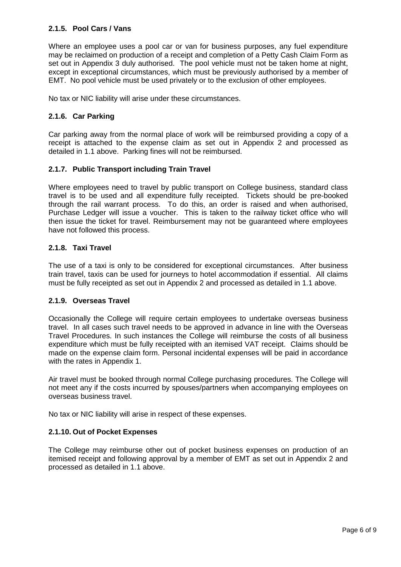#### **2.1.5. Pool Cars / Vans**

Where an employee uses a pool car or van for business purposes, any fuel expenditure may be reclaimed on production of a receipt and completion of a Petty Cash Claim Form as set out in Appendix 3 duly authorised. The pool vehicle must not be taken home at night, except in exceptional circumstances, which must be previously authorised by a member of EMT. No pool vehicle must be used privately or to the exclusion of other employees.

No tax or NIC liability will arise under these circumstances.

#### **2.1.6. Car Parking**

Car parking away from the normal place of work will be reimbursed providing a copy of a receipt is attached to the expense claim as set out in Appendix 2 and processed as detailed in 1.1 above. Parking fines will not be reimbursed.

#### **2.1.7. Public Transport including Train Travel**

Where employees need to travel by public transport on College business, standard class travel is to be used and all expenditure fully receipted. Tickets should be pre-booked through the rail warrant process. To do this, an order is raised and when authorised, Purchase Ledger will issue a voucher. This is taken to the railway ticket office who will then issue the ticket for travel. Reimbursement may not be guaranteed where employees have not followed this process.

#### **2.1.8. Taxi Travel**

The use of a taxi is only to be considered for exceptional circumstances. After business train travel, taxis can be used for journeys to hotel accommodation if essential. All claims must be fully receipted as set out in Appendix 2 and processed as detailed in 1.1 above.

#### **2.1.9. Overseas Travel**

Occasionally the College will require certain employees to undertake overseas business travel. In all cases such travel needs to be approved in advance in line with the Overseas Travel Procedures. In such instances the College will reimburse the costs of all business expenditure which must be fully receipted with an itemised VAT receipt. Claims should be made on the expense claim form. Personal incidental expenses will be paid in accordance with the rates in Appendix 1.

Air travel must be booked through normal College purchasing procedures. The College will not meet any if the costs incurred by spouses/partners when accompanying employees on overseas business travel.

No tax or NIC liability will arise in respect of these expenses.

#### **2.1.10. Out of Pocket Expenses**

The College may reimburse other out of pocket business expenses on production of an itemised receipt and following approval by a member of EMT as set out in Appendix 2 and processed as detailed in 1.1 above.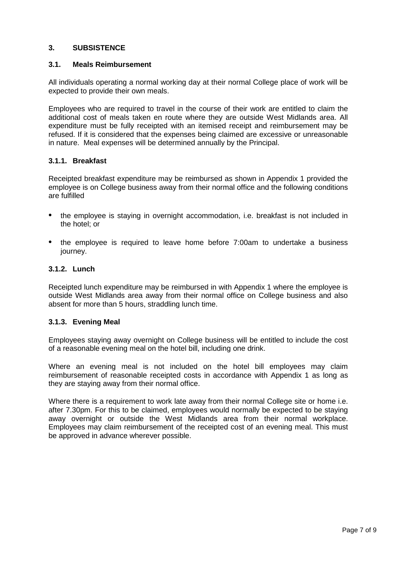#### **3. SUBSISTENCE**

#### **3.1. Meals Reimbursement**

All individuals operating a normal working day at their normal College place of work will be expected to provide their own meals.

Employees who are required to travel in the course of their work are entitled to claim the additional cost of meals taken en route where they are outside West Midlands area. All expenditure must be fully receipted with an itemised receipt and reimbursement may be refused. If it is considered that the expenses being claimed are excessive or unreasonable in nature. Meal expenses will be determined annually by the Principal.

#### **3.1.1. Breakfast**

Receipted breakfast expenditure may be reimbursed as shown in Appendix 1 provided the employee is on College business away from their normal office and the following conditions are fulfilled

- the employee is staying in overnight accommodation, i.e. breakfast is not included in the hotel; or
- the employee is required to leave home before 7:00am to undertake a business journey.

#### **3.1.2. Lunch**

Receipted lunch expenditure may be reimbursed in with Appendix 1 where the employee is outside West Midlands area away from their normal office on College business and also absent for more than 5 hours, straddling lunch time.

#### **3.1.3. Evening Meal**

Employees staying away overnight on College business will be entitled to include the cost of a reasonable evening meal on the hotel bill, including one drink.

Where an evening meal is not included on the hotel bill employees may claim reimbursement of reasonable receipted costs in accordance with Appendix 1 as long as they are staying away from their normal office.

Where there is a requirement to work late away from their normal College site or home i.e. after 7.30pm. For this to be claimed, employees would normally be expected to be staying away overnight or outside the West Midlands area from their normal workplace. Employees may claim reimbursement of the receipted cost of an evening meal. This must be approved in advance wherever possible.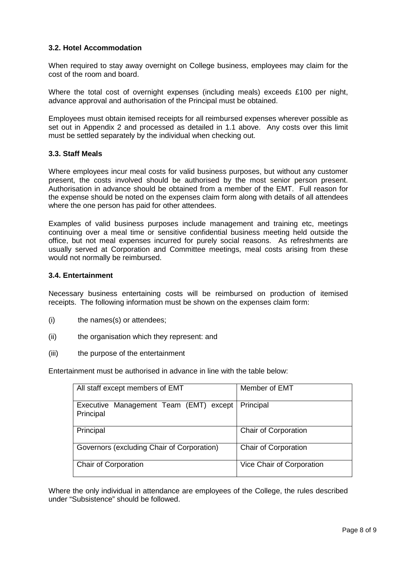#### **3.2. Hotel Accommodation**

When required to stay away overnight on College business, employees may claim for the cost of the room and board.

Where the total cost of overnight expenses (including meals) exceeds £100 per night, advance approval and authorisation of the Principal must be obtained.

Employees must obtain itemised receipts for all reimbursed expenses wherever possible as set out in Appendix 2 and processed as detailed in 1.1 above. Any costs over this limit must be settled separately by the individual when checking out.

#### **3.3. Staff Meals**

Where employees incur meal costs for valid business purposes, but without any customer present, the costs involved should be authorised by the most senior person present. Authorisation in advance should be obtained from a member of the EMT. Full reason for the expense should be noted on the expenses claim form along with details of all attendees where the one person has paid for other attendees.

Examples of valid business purposes include management and training etc, meetings continuing over a meal time or sensitive confidential business meeting held outside the office, but not meal expenses incurred for purely social reasons. As refreshments are usually served at Corporation and Committee meetings, meal costs arising from these would not normally be reimbursed.

#### **3.4. Entertainment**

Necessary business entertaining costs will be reimbursed on production of itemised receipts. The following information must be shown on the expenses claim form:

- (i) the names(s) or attendees;
- (ii) the organisation which they represent: and
- (iii) the purpose of the entertainment

Entertainment must be authorised in advance in line with the table below:

| All staff except members of EMT                     | Member of EMT               |
|-----------------------------------------------------|-----------------------------|
| Executive Management Team (EMT) except<br>Principal | Principal                   |
| Principal                                           | Chair of Corporation        |
| Governors (excluding Chair of Corporation)          | <b>Chair of Corporation</b> |
| Chair of Corporation                                | Vice Chair of Corporation   |

Where the only individual in attendance are employees of the College, the rules described under "Subsistence" should be followed.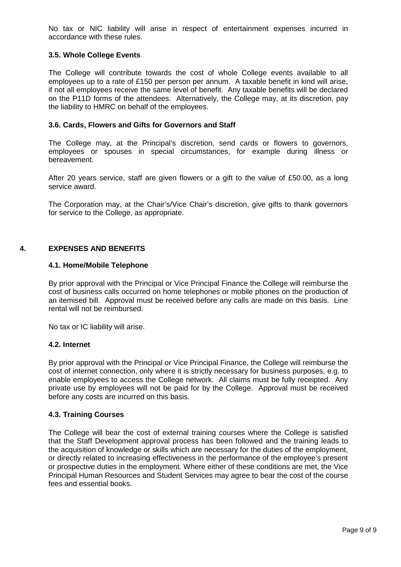No tax or NIC liability will arise in respect of entertainment expenses incurred in accordance with these rules.

#### **3.5. Whole College Events**

The College will contribute towards the cost of whole College events available to all employees up to a rate of £150 per person per annum. A taxable benefit in kind will arise, if not all employees receive the same level of benefit. Any taxable benefits will be declared on the P11D forms of the attendees. Alternatively, the College may, at its discretion, pay the liability to HMRC on behalf of the employees.

#### **3.6. Cards, Flowers and Gifts for Governors and Staff**

The College may, at the Principal's discretion, send cards or flowers to governors, employees or spouses in special circumstances, for example during illness or bereavement.

After 20 years service, staff are given flowers or a gift to the value of £50.00, as a long service award.

The Corporation may, at the Chair's/Vice Chair's discretion, give gifts to thank governors for service to the College, as appropriate.

#### **4. EXPENSES AND BENEFITS**

#### **4.1. Home/Mobile Telephone**

By prior approval with the Principal or Vice Principal Finance the College will reimburse the cost of business calls occurred on home telephones or mobile phones on the production of an itemised bill. Approval must be received before any calls are made on this basis. Line rental will not be reimbursed.

No tax or IC liability will arise.

#### **4.2. Internet**

By prior approval with the Principal or Vice Principal Finance, the College will reimburse the cost of internet connection, only where it is strictly necessary for business purposes, e.g. to enable employees to access the College network. All claims must be fully receipted. Any private use by employees will not be paid for by the College. Approval must be received before any costs are incurred on this basis.

#### **4.3. Training Courses**

The College will bear the cost of external training courses where the College is satisfied that the Staff Development approval process has been followed and the training leads to the acquisition of knowledge or skills which are necessary for the duties of the employment, or directly related to increasing effectiveness in the performance of the employee's present or prospective duties in the employment. Where either of these conditions are met, the Vice Principal Human Resources and Student Services may agree to bear the cost of the course fees and essential books.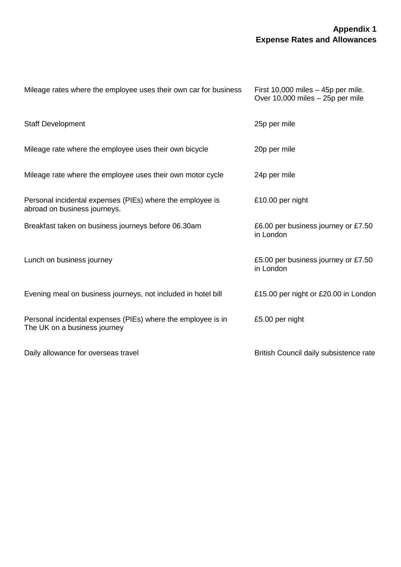## **Appendix 1 Expense Rates and Allowances**

| Mileage rates where the employee uses their own car for business                             | First $10,000$ miles $-45p$ per mile.<br>Over 10,000 miles - 25p per mile |
|----------------------------------------------------------------------------------------------|---------------------------------------------------------------------------|
| <b>Staff Development</b>                                                                     | 25p per mile                                                              |
| Mileage rate where the employee uses their own bicycle                                       | 20p per mile                                                              |
| Mileage rate where the employee uses their own motor cycle                                   | 24p per mile                                                              |
| Personal incidental expenses (PIEs) where the employee is<br>abroad on business journeys.    | £10.00 per night                                                          |
| Breakfast taken on business journeys before 06.30am                                          | £6.00 per business journey or £7.50<br>in London                          |
| Lunch on business journey                                                                    | £5.00 per business journey or £7.50<br>in London                          |
| Evening meal on business journeys, not included in hotel bill                                | £15.00 per night or £20.00 in London                                      |
| Personal incidental expenses (PIEs) where the employee is in<br>The UK on a business journey | £5.00 per night                                                           |
| Daily allowance for overseas travel                                                          | British Council daily subsistence rate                                    |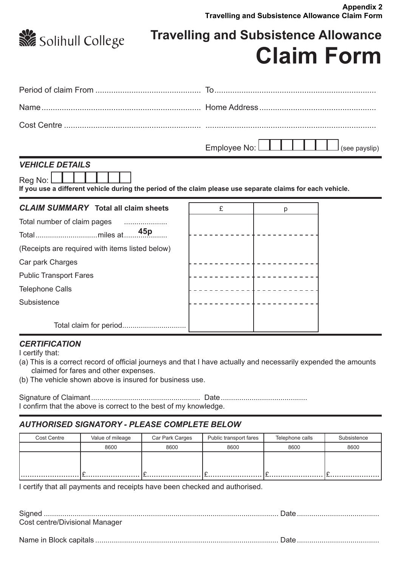

**Travelling and Subsistence Allowance Claim Form**

## *VEHICLE DETAILS*

Reg No:

**If you use a different vehicle during the period of the claim please use separate claims for each vehicle.**

| <b>CLAIM SUMMARY</b> Total all claim sheets     | £               | р |
|-------------------------------------------------|-----------------|---|
| Total number of claim pages                     |                 |   |
|                                                 | 45 <sub>p</sub> |   |
| (Receipts are required with items listed below) |                 |   |
| Car park Charges                                |                 |   |
| <b>Public Transport Fares</b>                   |                 |   |
| <b>Telephone Calls</b>                          |                 |   |
| Subsistence                                     |                 |   |
|                                                 |                 |   |
|                                                 |                 |   |

## *CERTIFICATION*

I certify that:

- (a) This is a correct record of official journeys and that I have actually and necessarily expended the amounts claimed for fares and other expenses.
- (b) The vehicle shown above is insured for business use.

Signature of Claimant..................................................... Date.......................................... I confirm that the above is correct to the best of my knowledge.

## *AUTHORISED SIGNATORY - PLEASE COMPLETE BELOW*

| Cost Centre | Value of mileage | Car Park Carges | Public transport fares | Telephone calls | Subsistence |
|-------------|------------------|-----------------|------------------------|-----------------|-------------|
|             | 8600             | 8600            | 8600                   | 8600            | 8600        |
|             |                  |                 |                        |                 |             |
|             |                  |                 |                        |                 |             |
| .           |                  |                 |                        |                 |             |

I certify that all payments and receipts have been checked and authorised.

| Cost centre/Divisional Manager |  |
|--------------------------------|--|
|                                |  |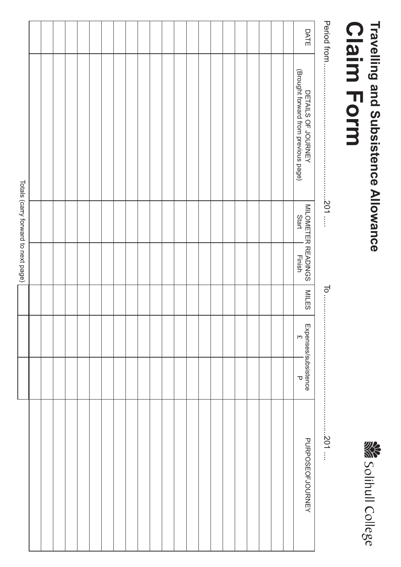# **Claim Form** Travelling and Subsistence Allowance **Travelling and Subsistence Allowance Claim Form**



|                        |  |                 | Totals (carry forward to next page)  |                                                            |              |
|------------------------|--|-----------------|--------------------------------------|------------------------------------------------------------|--------------|
|                        |  |                 |                                      |                                                            |              |
|                        |  |                 |                                      |                                                            |              |
|                        |  |                 |                                      |                                                            |              |
|                        |  |                 |                                      |                                                            |              |
|                        |  |                 |                                      |                                                            |              |
|                        |  |                 |                                      |                                                            |              |
|                        |  |                 |                                      |                                                            |              |
|                        |  |                 |                                      |                                                            |              |
|                        |  |                 |                                      |                                                            |              |
|                        |  |                 |                                      |                                                            |              |
|                        |  |                 |                                      |                                                            |              |
|                        |  |                 |                                      |                                                            |              |
|                        |  |                 |                                      |                                                            |              |
|                        |  |                 |                                      |                                                            |              |
|                        |  |                 |                                      |                                                            |              |
|                        |  |                 |                                      |                                                            |              |
|                        |  |                 |                                      |                                                            |              |
|                        |  |                 |                                      |                                                            |              |
|                        |  |                 |                                      |                                                            |              |
|                        |  |                 |                                      |                                                            |              |
|                        |  |                 |                                      |                                                            |              |
|                        |  |                 |                                      |                                                            |              |
| PURPOSEOFJOURNEY       |  | <b>MILES</b>    | MILOMETER READINGS<br>Start   Finish | DETAILS OF JOURNEY<br>(Brought forward from previous page) | DATE         |
| $\ldots$ .201 $\ldots$ |  | $\overline{10}$ | $201$                                |                                                            | Period from. |